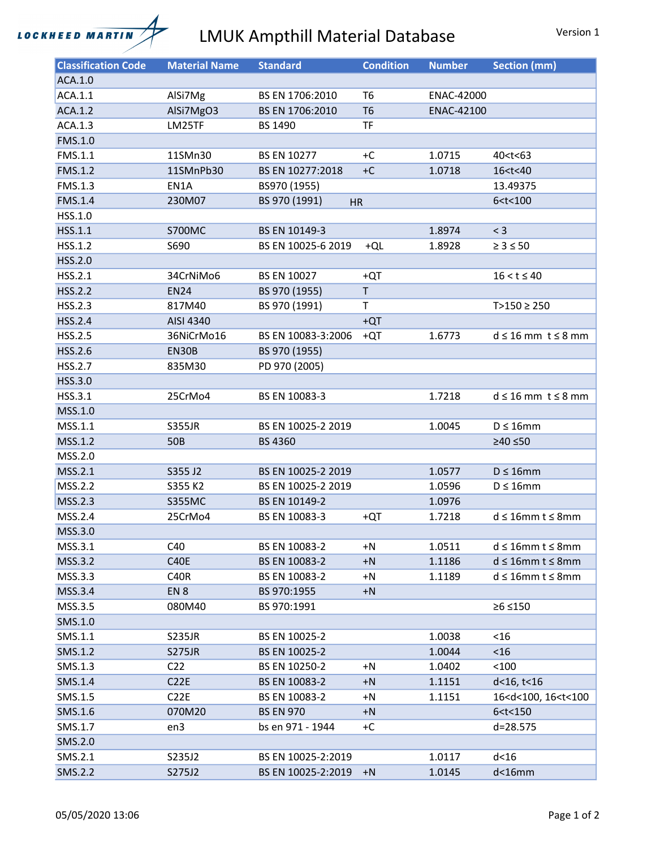

## LMUK Ampthill Material Database Version 1

| <b>Classification Code</b> | <b>Material Name</b> | <b>Standard</b>            | <b>Condition</b> | <b>Number</b> | <b>Section (mm)</b>                     |
|----------------------------|----------------------|----------------------------|------------------|---------------|-----------------------------------------|
| ACA.1.0                    |                      |                            |                  |               |                                         |
| ACA.1.1                    | AlSi7Mg              | BS EN 1706:2010            | T <sub>6</sub>   | ENAC-42000    |                                         |
| ACA.1.2                    | AlSi7MgO3            | BS EN 1706:2010            | T <sub>6</sub>   | ENAC-42100    |                                         |
| ACA.1.3                    | LM25TF               | <b>BS 1490</b>             | <b>TF</b>        |               |                                         |
| FMS.1.0                    |                      |                            |                  |               |                                         |
| FMS.1.1                    | 11SMn30              | <b>BS EN 10277</b>         | $+C$             | 1.0715        | 40 <t<63< td=""></t<63<>                |
| <b>FMS.1.2</b>             | 11SMnPb30            | BS EN 10277:2018           | $+C$             | 1.0718        | 16 <t<40< td=""></t<40<>                |
| <b>FMS.1.3</b>             | EN1A                 | BS970 (1955)               |                  |               | 13.49375                                |
| <b>FMS.1.4</b>             | 230M07               | BS 970 (1991)<br><b>HR</b> |                  |               | 6 < t < 100                             |
| HSS.1.0                    |                      |                            |                  |               |                                         |
| HSS.1.1                    | <b>S700MC</b>        | BS EN 10149-3              |                  | 1.8974        | $<$ 3                                   |
| HSS.1.2                    | S690                 | BS EN 10025-6 2019         | +QL              | 1.8928        | $\geq 3 \leq 50$                        |
| HSS.2.0                    |                      |                            |                  |               |                                         |
| HSS.2.1                    | 34CrNiMo6            | <b>BS EN 10027</b>         | +QT              |               | $16 < t \le 40$                         |
| <b>HSS.2.2</b>             | <b>EN24</b>          | BS 970 (1955)              | $\mathsf T$      |               |                                         |
| HSS.2.3                    | 817M40               | BS 970 (1991)              | T                |               | $T>150 \ge 250$                         |
| <b>HSS.2.4</b>             | AISI 4340            |                            | $+QT$            |               |                                         |
| <b>HSS.2.5</b>             | 36NiCrMo16           | BS EN 10083-3:2006         | $+QT$            | 1.6773        | $d \leq 16$ mm $t \leq 8$ mm            |
| HSS.2.6                    | EN30B                | BS 970 (1955)              |                  |               |                                         |
| <b>HSS.2.7</b>             | 835M30               | PD 970 (2005)              |                  |               |                                         |
| HSS.3.0                    |                      |                            |                  |               |                                         |
| HSS.3.1                    | 25CrMo4              | BS EN 10083-3              |                  | 1.7218        | $d \leq 16$ mm $t \leq 8$ mm            |
| MSS.1.0                    |                      |                            |                  |               |                                         |
| MSS.1.1                    | <b>S355JR</b>        | BS EN 10025-2 2019         |                  | 1.0045        | $D \leq 16$ mm                          |
| MSS.1.2                    | 50 <sub>B</sub>      | <b>BS 4360</b>             |                  |               | ≥40 ≤50                                 |
| MSS.2.0                    |                      |                            |                  |               |                                         |
| MSS.2.1                    | S355 J2              | BS EN 10025-2 2019         |                  | 1.0577        | $D \leq 16$ mm                          |
| MSS.2.2                    | S355 K2              | BS EN 10025-2 2019         |                  | 1.0596        | $D \leq 16$ mm                          |
| MSS.2.3                    | <b>S355MC</b>        | BS EN 10149-2              |                  | 1.0976        |                                         |
| MSS.2.4                    | 25CrMo4              | BS EN 10083-3              | +QT              | 1.7218        | $d \leq 16$ mm t $\leq 8$ mm            |
| MSS.3.0                    |                      |                            |                  |               |                                         |
| MSS.3.1                    | C40                  | BS EN 10083-2              | $+N$             | 1.0511        | $d \leq 16$ mm t $\leq 8$ mm            |
| MSS.3.2                    | <b>C40E</b>          | BS EN 10083-2              | $+N$             | 1.1186        | $d \leq 16$ mm t $\leq 8$ mm            |
| MSS.3.3                    | <b>C40R</b>          | BS EN 10083-2              | $+N$             | 1.1189        | $d \leq 16$ mm t $\leq 8$ mm            |
| MSS.3.4                    | EN <sub>8</sub>      | BS 970:1955                | $+N$             |               |                                         |
| MSS.3.5                    | 080M40               | BS 970:1991                |                  |               | ≥6 ≤150                                 |
| SMS.1.0                    |                      |                            |                  |               |                                         |
| SMS.1.1                    | <b>S235JR</b>        | BS EN 10025-2              |                  | 1.0038        | $<$ 16                                  |
| SMS.1.2                    | <b>S275JR</b>        | BS EN 10025-2              |                  | 1.0044        | < 16                                    |
| SMS.1.3                    | C <sub>22</sub>      | BS EN 10250-2              | $+N$             | 1.0402        | < 100                                   |
| SMS.1.4                    | C22E                 | BS EN 10083-2              | $+N$             | 1.1151        | d<16, t<16                              |
| SMS.1.5                    | C <sub>2</sub> 2E    | BS EN 10083-2              | $+N$             | 1.1151        | 16 <d<100, 16<t<100<="" td=""></d<100,> |
| SMS.1.6                    | 070M20               | <b>BS EN 970</b>           | $+N$             |               | 6 < t < 150                             |
| SMS.1.7                    | en3                  | bs en 971 - 1944           | +C               |               | d=28.575                                |
| SMS.2.0                    |                      |                            |                  |               |                                         |
| SMS.2.1                    | S235J2               | BS EN 10025-2:2019         |                  | 1.0117        | $d<$ 16                                 |
| SMS.2.2                    |                      | BS EN 10025-2:2019         |                  |               | $d<$ 16 $m$ m                           |
|                            | S275J2               |                            | $+N$             | 1.0145        |                                         |